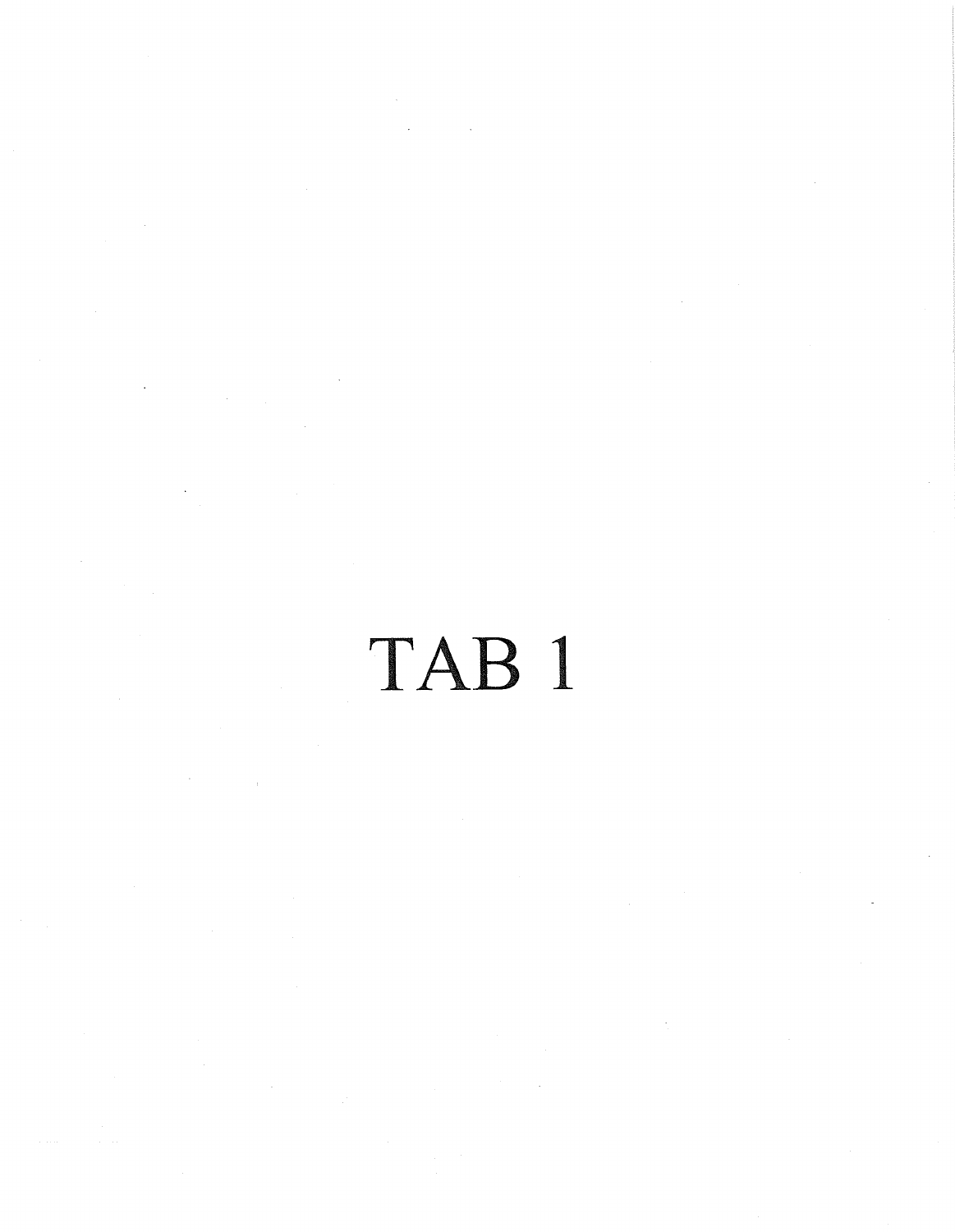## TAB 1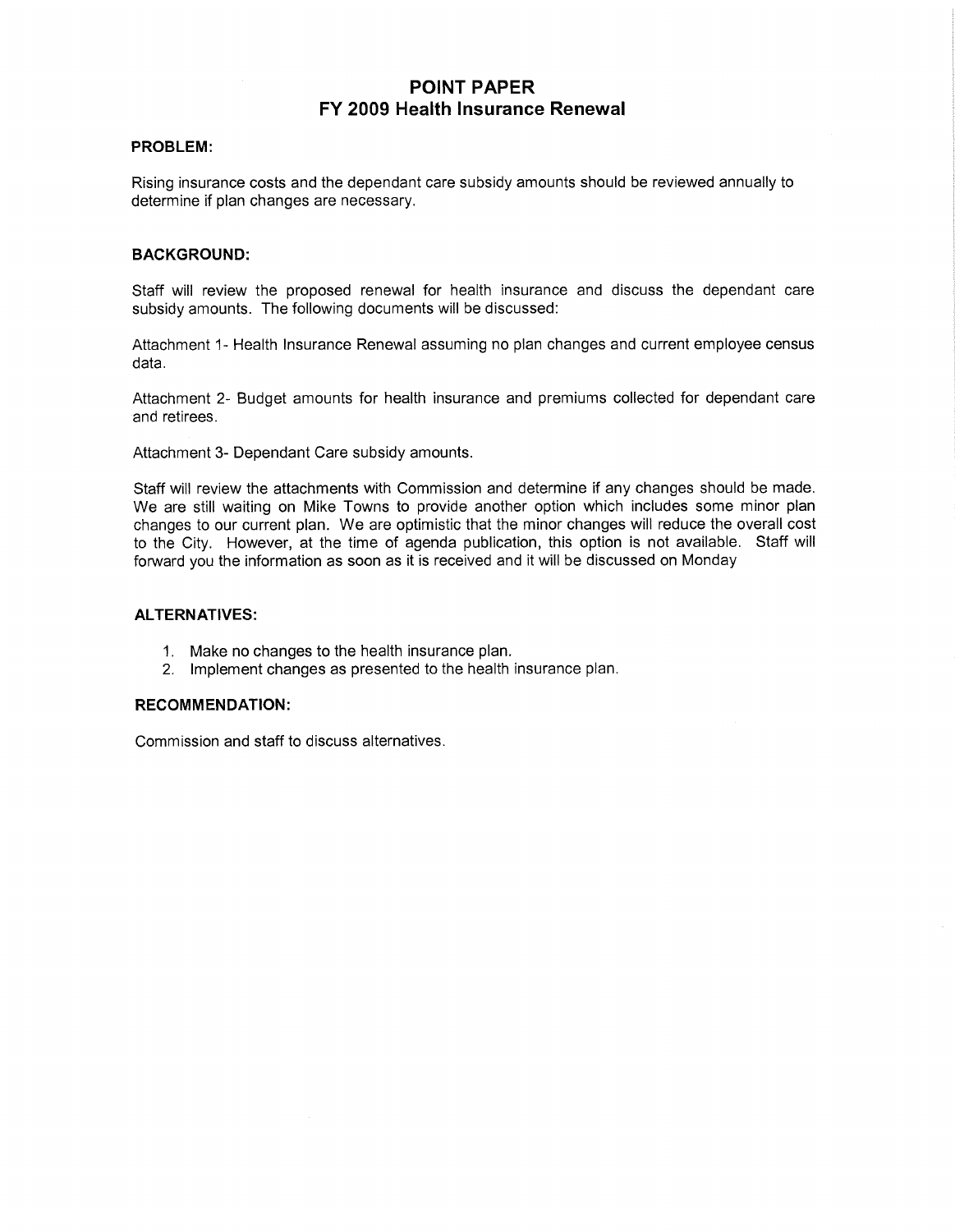## POINT PAPER FY 2009 Health Insurance Renewal

## PROBLEM

Rising insurance costs and the dependant care subsidy amounts should be reviewed annually to determine if plan changes are necessary

## **BACKGROUND:**

Staff will review the proposed renewal for health insurance and discuss the dependant care subsidy amounts. The following documents will be discussed:

Attachment 1- Health Insurance Renewal assuming no plan changes and current employee census data

Attachment 2- Budget amounts for health insurance and premiums collected for dependant care and retirees

Attachment 3- Dependant Care subsidy amounts.

Staff will review the attachments with Commission and determine if any changes should be made We are still waiting on Mike Towns to provide another option which includes some minor plan changes to our current plan. We are optimistic that the minor changes will reduce the overall cost to the City. However, at the time of agenda publication, this option is not available. Staff will forward you the information as soon as it is received and it will be discussed on Monday

## ALTERNATIVES

- 1. Make no changes to the health insurance plan.
- 2 Impiement changes as presented to the health insurance plan

## RECOMMENDATION

Commission and staff to discuss alternatives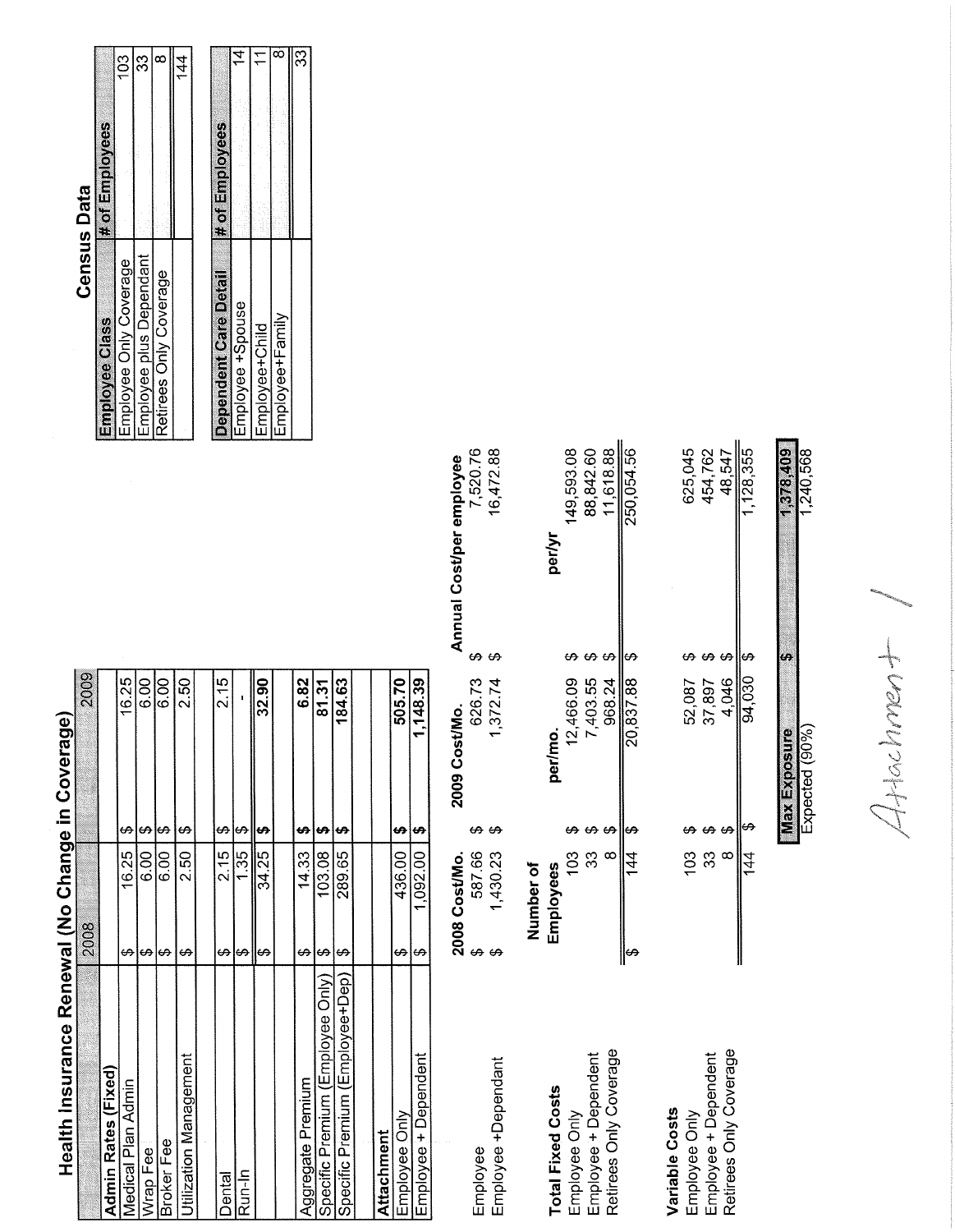# Health Insurance Renewal (No Change in Coverage)

| 1,148.39<br>€,                  | 1,092.00           | ക  | Employee + Dependent             |
|---------------------------------|--------------------|----|----------------------------------|
| 505.70<br>S,                    | 436.00             | ↔  | Employee Only                    |
|                                 |                    |    | Attachment                       |
|                                 |                    |    |                                  |
| 184.63<br>G,                    | 289.65             | G. | Specific Premium (Employee+Dep)  |
| 81.31<br>ť                      | 103.08             | ↔  | Specific Premium (Employee Only) |
| 6.82                            | 14.33              |    | Aggregate Premium                |
|                                 |                    |    |                                  |
| 32.90<br>H,                     | 34.25              |    |                                  |
| $\Theta$                        | 1.35               | မာ | Run-In                           |
| 2.15<br>$\boldsymbol{\varphi}$  | 2.15               | မာ | Dental                           |
|                                 |                    |    |                                  |
| 2.50<br>ക                       | 2.50               | ക  | Utilization Management           |
| 6.00<br>ക                       | $\frac{8}{3}$      | မာ | Broker Fee                       |
| $\frac{8}{6}$                   | $6.00 \frac{1}{2}$ | £٩ | Wrap Fee                         |
| 16.25<br>$\boldsymbol{\varphi}$ | 16.25              | G, | Medical Plan Admin               |
|                                 |                    |    | Admin Rates (Fixed)              |
| 200S                            | 2008               |    |                                  |

|                          | 2008 Cost/Mo. | 2009 Cost/Mo.  | Annual Cost/per employee |  |
|--------------------------|---------------|----------------|--------------------------|--|
| Employee                 | 587.66        | 626.73         | 7,520.76                 |  |
| Employee +Dependant      | 1,430.23      | 1,372.74       | 16,472.88                |  |
|                          | Number of     |                |                          |  |
| <b>Total Fixed Costs</b> | Employees     | per/mo.        | perlyr                   |  |
| Employee Only            | 103           | 12,466.09      | 149,593.08               |  |
| Employee + Dependent     | 33            | 7,403.55       | 88,842.60                |  |
| Retirees Only Coverage   | $\infty$      | 968.24         | 11,618.88                |  |
|                          | 144<br>1      | $20,837.88$ \$ | 250,054.56               |  |
| Variable Costs           |               |                |                          |  |
| Employee Only            | 103           | 52,087         | 625,045                  |  |
| Employee + Dependent     | 33            | 37,897         | 454,762                  |  |
| Retirees Only Coverage   | $\infty$      | 4.046          | 48,547                   |  |
|                          | 44<br>4       | 94.030\$       | .128.355                 |  |

## **Census Data**

|                         | l# of Employees |
|-------------------------|-----------------|
| Employee Only Coverage  | 103             |
| Employee plus Dependant | 33              |
| Retirees Only Coverage  |                 |
|                         |                 |

| Dependent Care Deta | # of Employees |
|---------------------|----------------|
| Employee +Spouse    |                |
| Employee+Child      |                |
| Employee+Family     |                |
|                     | ్ల             |

 $44402mm+$ 

1,378,409 1,240,568

 $\frac{\text{Max Exposure}}{\text{Expected } (90\%)}$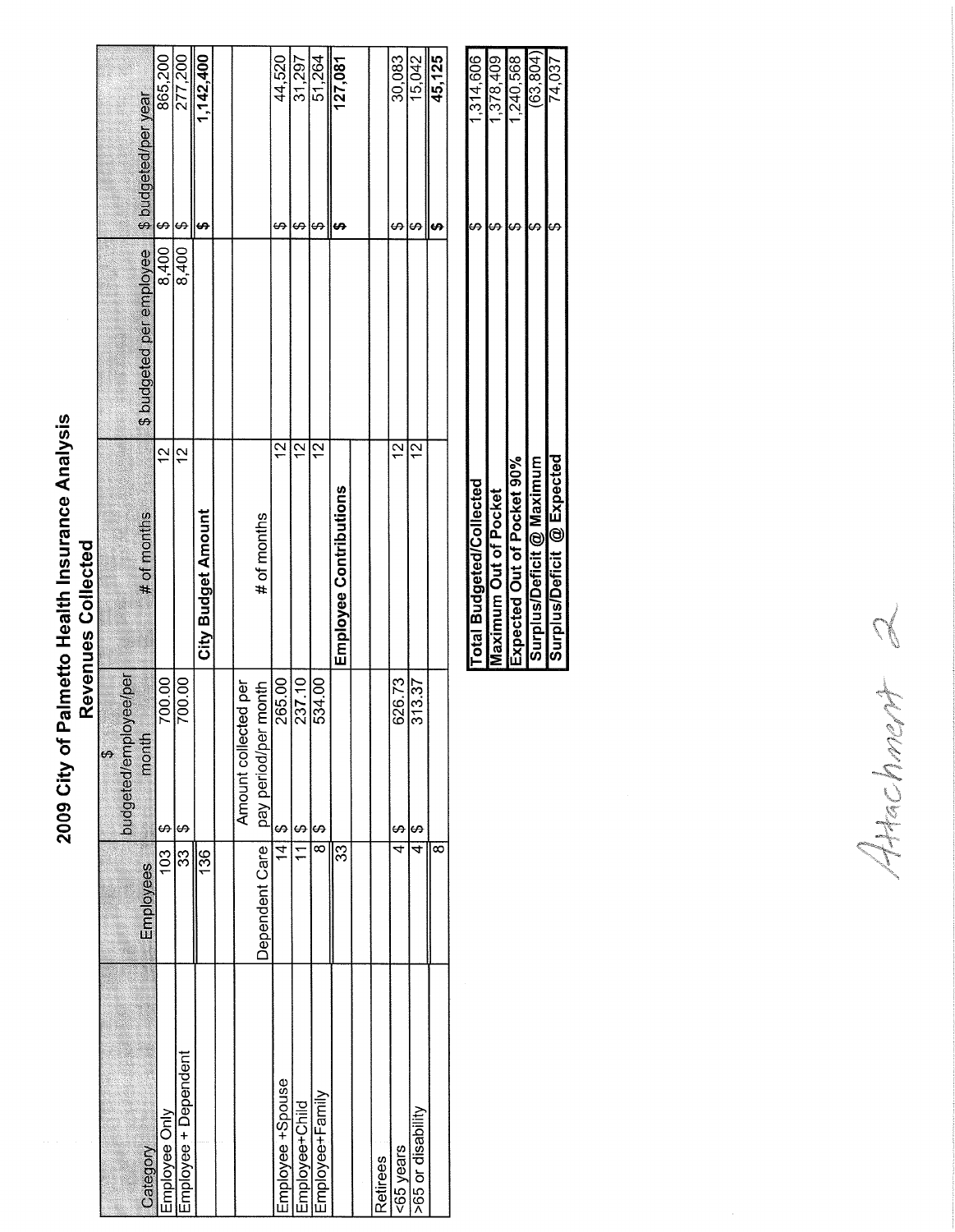## 2009 City of Palmetto Health Insurance Analysis<br>Revenues Collected

| CC TTC               |                          |                               |                                       |                     |                      |
|----------------------|--------------------------|-------------------------------|---------------------------------------|---------------------|----------------------|
| 45,125               |                          |                               |                                       | ∞                   |                      |
| 15,042               | ഗ                        | $\frac{2}{1}$                 | 313.37<br>မာ                          | 4                   | >65 or disability    |
| 30,083               | ക                        | $\tilde{c}$                   | 626.73<br>$\boldsymbol{\varphi}$      | 4                   | <65 years            |
|                      |                          |                               |                                       |                     | Retirees             |
|                      |                          |                               |                                       |                     |                      |
| $\frac{127,081}{7}$  |                          | <b>Employee Contributions</b> |                                       | ౘ                   |                      |
| 51,264               | ↔                        | <u>بہ</u>                     | 534.00<br>G.                          | $\overline{\infty}$ | Employee+Family      |
| 31,297               | မာ                       | $\frac{1}{2}$                 | 237.10<br>$\boldsymbol{\varphi}$      | $\mathcal{I}$       | Employee+Child       |
| 44,520               | မာ                       | $\frac{2}{1}$                 | 265.00<br>မာ                          | $\frac{1}{4}$       | Employee +Spouse     |
|                      |                          | # of months                   | pay period/per month                  | Dependent Care      |                      |
|                      |                          |                               | Amount collected per                  |                     |                      |
|                      |                          |                               |                                       |                     |                      |
| 1,142,400            | e,                       | City Budget Amount            |                                       | 136                 |                      |
| 277,200              | ഗ<br>8,400               | $\tilde{c}$                   | 700.00<br>မာ                          | 33                  | Employee + Dependent |
| 865,200              | မာ<br>8,400              | $\tilde{c}$                   | 700.00<br>$\boldsymbol{\varphi}$      | 103                 | Employee Only        |
| \$ budgeted/per year | \$ budgeted per employee | # of months                   | mont                                  | Employees           | Category             |
|                      |                          |                               | dieakoic<br>oudgeted/emp<br>$\bullet$ |                     |                      |
|                      |                          |                               |                                       |                     |                      |

| Expected Out of Pocket 90%<br>Surplus/Deficit @ Maximum<br>Surplus/Deficit @ Expected<br>Total Budgeted/Collected<br><b>Maximum Out of Pocket</b> |  |           |
|---------------------------------------------------------------------------------------------------------------------------------------------------|--|-----------|
|                                                                                                                                                   |  | 1,314,606 |
|                                                                                                                                                   |  | 1,378,409 |
|                                                                                                                                                   |  | 1,240,568 |
|                                                                                                                                                   |  | (63.804)  |
|                                                                                                                                                   |  | 74,037    |

Attachment 2